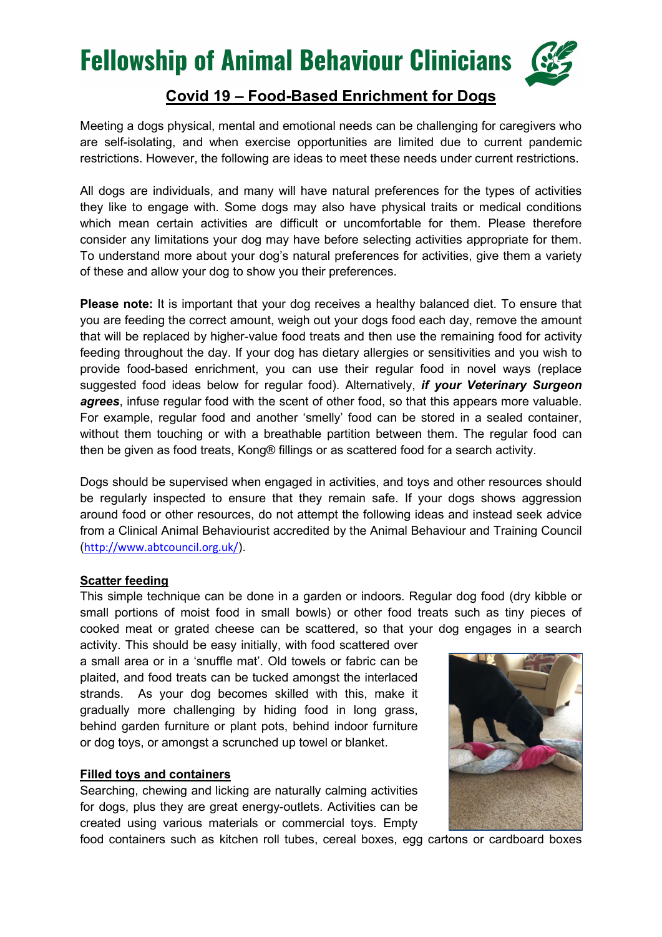### **Fellowship of Animal Behaviour Clinicians**



### Covid 19 – Food-Based Enrichment for Dogs

Meeting a dogs physical, mental and emotional needs can be challenging for caregivers who are self-isolating, and when exercise opportunities are limited due to current pandemic restrictions. However, the following are ideas to meet these needs under current restrictions.

All dogs are individuals, and many will have natural preferences for the types of activities they like to engage with. Some dogs may also have physical traits or medical conditions which mean certain activities are difficult or uncomfortable for them. Please therefore consider any limitations your dog may have before selecting activities appropriate for them. To understand more about your dog's natural preferences for activities, give them a variety of these and allow your dog to show you their preferences.

Please note: It is important that your dog receives a healthy balanced diet. To ensure that you are feeding the correct amount, weigh out your dogs food each day, remove the amount that will be replaced by higher-value food treats and then use the remaining food for activity feeding throughout the day. If your dog has dietary allergies or sensitivities and you wish to provide food-based enrichment, you can use their regular food in novel ways (replace suggested food ideas below for regular food). Alternatively, *if your Veterinary Surgeon* agrees, infuse regular food with the scent of other food, so that this appears more valuable. For example, regular food and another 'smelly' food can be stored in a sealed container, without them touching or with a breathable partition between them. The regular food can then be given as food treats, Kong® fillings or as scattered food for a search activity.

Dogs should be supervised when engaged in activities, and toys and other resources should be regularly inspected to ensure that they remain safe. If your dogs shows aggression around food or other resources, do not attempt the following ideas and instead seek advice from a Clinical Animal Behaviourist accredited by the Animal Behaviour and Training Council (http://www.abtcouncil.org.uk/).

### Scatter feeding

This simple technique can be done in a garden or indoors. Regular dog food (dry kibble or small portions of moist food in small bowls) or other food treats such as tiny pieces of cooked meat or grated cheese can be scattered, so that your dog engages in a search

activity. This should be easy initially, with food scattered over a small area or in a 'snuffle mat'. Old towels or fabric can be plaited, and food treats can be tucked amongst the interlaced strands. As your dog becomes skilled with this, make it gradually more challenging by hiding food in long grass, behind garden furniture or plant pots, behind indoor furniture or dog toys, or amongst a scrunched up towel or blanket.

#### Filled toys and containers

Searching, chewing and licking are naturally calming activities for dogs, plus they are great energy-outlets. Activities can be created using various materials or commercial toys. Empty



food containers such as kitchen roll tubes, cereal boxes, egg cartons or cardboard boxes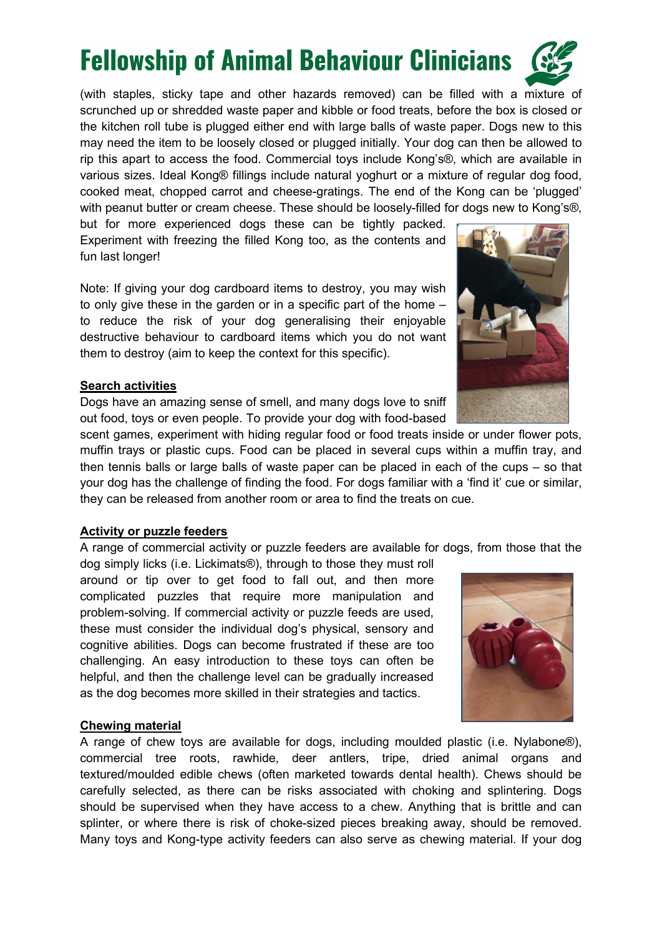## **Fellowship of Animal Behaviour Clinicians**

(with staples, sticky tape and other hazards removed) can be filled with a mixture of scrunched up or shredded waste paper and kibble or food treats, before the box is closed or the kitchen roll tube is plugged either end with large balls of waste paper. Dogs new to this may need the item to be loosely closed or plugged initially. Your dog can then be allowed to rip this apart to access the food. Commercial toys include Kong's®, which are available in various sizes. Ideal Kong® fillings include natural yoghurt or a mixture of regular dog food, cooked meat, chopped carrot and cheese-gratings. The end of the Kong can be 'plugged' with peanut butter or cream cheese. These should be loosely-filled for dogs new to Kong's®,

but for more experienced dogs these can be tightly packed. Experiment with freezing the filled Kong too, as the contents and fun last longer!

Note: If giving your dog cardboard items to destroy, you may wish to only give these in the garden or in a specific part of the home – to reduce the risk of your dog generalising their enjoyable destructive behaviour to cardboard items which you do not want them to destroy (aim to keep the context for this specific).

#### Search activities

Dogs have an amazing sense of smell, and many dogs love to sniff out food, toys or even people. To provide your dog with food-based

scent games, experiment with hiding regular food or food treats inside or under flower pots, muffin trays or plastic cups. Food can be placed in several cups within a muffin tray, and then tennis balls or large balls of waste paper can be placed in each of the cups – so that your dog has the challenge of finding the food. For dogs familiar with a 'find it' cue or similar, they can be released from another room or area to find the treats on cue.

#### Activity or puzzle feeders

A range of commercial activity or puzzle feeders are available for dogs, from those that the

dog simply licks (i.e. Lickimats®), through to those they must roll around or tip over to get food to fall out, and then more complicated puzzles that require more manipulation and problem-solving. If commercial activity or puzzle feeds are used, these must consider the individual dog's physical, sensory and cognitive abilities. Dogs can become frustrated if these are too challenging. An easy introduction to these toys can often be helpful, and then the challenge level can be gradually increased as the dog becomes more skilled in their strategies and tactics.

#### Chewing material

A range of chew toys are available for dogs, including moulded plastic (i.e. Nylabone®), commercial tree roots, rawhide, deer antlers, tripe, dried animal organs and textured/moulded edible chews (often marketed towards dental health). Chews should be carefully selected, as there can be risks associated with choking and splintering. Dogs should be supervised when they have access to a chew. Anything that is brittle and can splinter, or where there is risk of choke-sized pieces breaking away, should be removed. Many toys and Kong-type activity feeders can also serve as chewing material. If your dog